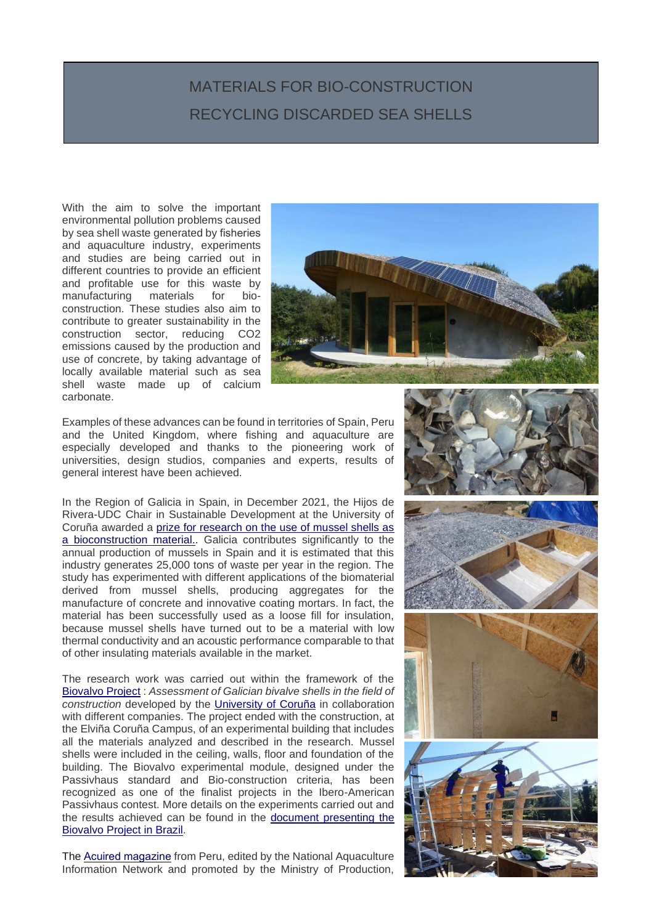## MATERIALS FOR BIO-CONSTRUCTION RECYCLING DISCARDED SEA SHELLS

With the aim to solve the important environmental pollution problems caused by sea shell waste generated by fisheries and aquaculture industry, experiments and studies are being carried out in different countries to provide an efficient and profitable use for this waste by manufacturing materials for bioconstruction. These studies also aim to contribute to greater sustainability in the construction sector, reducing CO2 emissions caused by the production and use of concrete, by taking advantage of locally available material such as sea shell waste made up of calcium carbonate.



Examples of these advances can be found in territories of Spain, Peru and the United Kingdom, where fishing and aquaculture are especially developed and thanks to the pioneering work of universities, design studios, companies and experts, results of general interest have been achieved.

In the Region of Galicia in Spain, in December 2021, the Hijos de Rivera-UDC Chair in Sustainable Development at the University of Coruña awarded a [prize for research on the use of mussel shells as](http://www.ipacuicultura.com/noticias/en_portada/80147/la_catedra_hijos_de_rivera_udc_premia_una_investigacion_sobre_valorizacion_de_la_concha_de_mejillon_como_material_de_construccion_.html)  a [bioconstruction material.](http://www.ipacuicultura.com/noticias/en_portada/80147/la_catedra_hijos_de_rivera_udc_premia_una_investigacion_sobre_valorizacion_de_la_concha_de_mejillon_como_material_de_construccion_.html). Galicia contributes significantly to the annual production of mussels in Spain and it is estimated that this industry generates 25,000 tons of waste per year in the region. The study has experimented with different applications of the biomaterial derived from mussel shells, producing aggregates for the manufacture of concrete and innovative coating mortars. In fact, the material has been successfully used as a loose fill for insulation, because mussel shells have turned out to be a material with low thermal conductivity and an acoustic performance comparable to that of other insulating materials available in the market.

The research work was carried out within the framework of the [Biovalvo](http://biovalvo.blogspot.com/) Project : *Assessment of Galician bivalve shells in the field of construction* developed by the [University of Coruña](http://biovalvo.blogspot.com/p/el-equipo_12.html) in collaboration with different companies. The project ended with the construction, at the Elviña Coruña Campus, of an experimental building that includes all the materials analyzed and described in the research. Mussel shells were included in the ceiling, walls, floor and foundation of the building. The Biovalvo experimental module, designed under the Passivhaus standard and Bio-construction criteria, has been recognized as one of the finalist projects in the Ibero-American Passivhaus contest. More details on the experiments carried out and the results achieved can be found in the [document presenting the](https://iabs.org.br/maceioinclusiva/wp-content/uploads/2018/2-seminario/Carolina-Martinez.pdf)  Biovalvo [Project in Brazil.](https://iabs.org.br/maceioinclusiva/wp-content/uploads/2018/2-seminario/Carolina-Martinez.pdf)

The [Acuired magazine](https://rnia.produce.gob.pe/wp-content/uploads/2022/03/AcuiRed-2-31.03.22_compressed.pdf) from Peru, edited by the National Aquaculture Information Network and promoted by the Ministry of Production,

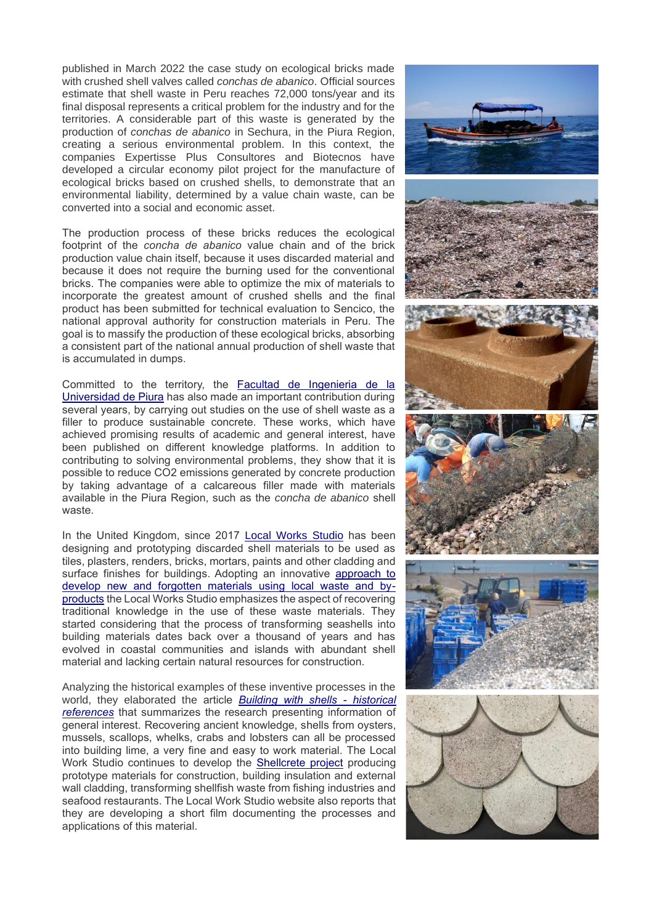published in March 2022 the case study on ecological bricks made with crushed shell valves called *conchas de abanico*. Official sources estimate that shell waste in Peru reaches 72,000 tons/year and its final disposal represents a critical problem for the industry and for the territories. A considerable part of this waste is generated by the production of *conchas de abanico* in Sechura, in the Piura Region, creating a serious environmental problem. In this context, the companies Expertisse Plus Consultores and Biotecnos have developed a circular economy pilot project for the manufacture of ecological bricks based on crushed shells, to demonstrate that an environmental liability, determined by a value chain waste, can be converted into a social and economic asset.

The production process of these bricks reduces the ecological footprint of the *concha de abanico* value chain and of the brick production value chain itself, because it uses discarded material and because it does not require the burning used for the conventional bricks. The companies were able to optimize the mix of materials to incorporate the greatest amount of crushed shells and the final product has been submitted for technical evaluation to Sencico, the national approval authority for construction materials in Peru. The goal is to massify the production of these ecological bricks, absorbing a consistent part of the national annual production of shell waste that is accumulated in dumps.

Committed to the territory, the [Facultad de Ingenieria de la](https://pirhua.udep.edu.pe/bitstream/handle/11042/4477/ICI_2005.pdf?sequence=1&isAllowed=y)  [Universidad de Piura](https://pirhua.udep.edu.pe/bitstream/handle/11042/4477/ICI_2005.pdf?sequence=1&isAllowed=y) has also made an important contribution during several years, by carrying out studies on the use of shell waste as a filler to produce sustainable concrete. These works, which have achieved promising results of academic and general interest, have been published on different knowledge platforms. In addition to contributing to solving environmental problems, they show that it is possible to reduce CO2 emissions generated by concrete production by taking advantage of a calcareous filler made with materials available in the Piura Region, such as the *concha de abanico* shell waste.

In the United Kingdom, since 2017 [Local Works Studio](https://localworksstudio.com/projects/shellcrete-transforming-sea-shells-into-low-carbon-materials/) has been designing and prototyping discarded shell materials to be used as tiles, plasters, renders, bricks, mortars, paints and other cladding and surface finishes for buildings. Adopting an innovative [approach to](https://localworksstudio.com/practice/aboutus/)  [develop new and forgotten materials using local waste and by](https://localworksstudio.com/practice/aboutus/)[products](https://localworksstudio.com/practice/aboutus/) the Local Works Studio emphasizes the aspect of recovering traditional knowledge in the use of these waste materials. They started considering that the process of transforming seashells into building materials dates back over a thousand of years and has evolved in coastal communities and islands with abundant shell material and lacking certain natural resources for construction.

Analyzing the historical examples of these inventive processes in the world, they elaborated the article *Building with shells - [historical](https://localworksstudio.com/building-with-shells-historical-references/) [references](https://localworksstudio.com/building-with-shells-historical-references/)* that summarizes the research presenting information of general interest. Recovering ancient knowledge, shells from oysters, mussels, scallops, whelks, crabs and lobsters can all be processed into building lime, a very fine and easy to work material. The Local Work Studio continues to develop the [Shellcrete project](https://localworksstudio.com/projects/shellcrete-transforming-sea-shells-into-low-carbon-materials/) producing prototype materials for construction, building insulation and external wall cladding, transforming shellfish waste from fishing industries and seafood restaurants. The Local Work Studio website also reports that they are developing a short film documenting the processes and applications of this material.